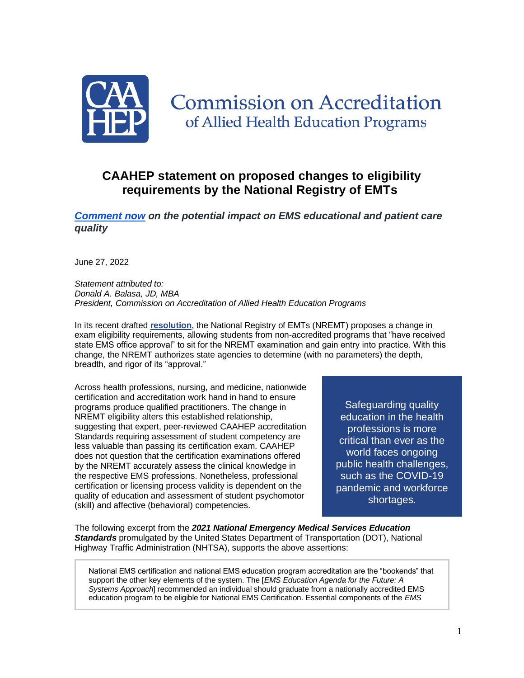

# **Commission on Accreditation** of Allied Health Education Programs

# **CAAHEP statement on proposed changes to eligibility requirements by the National Registry of EMTs**

*[Comment now](https://r20.rs6.net/tn.jsp?f=001ft6S3Ac4PmX-dF6sK9VIx-Q-EgzkkG7jAAdlsbCfz7Sn2I25oF0RNmOcpWaSWds0qfkBsMXeNf2Kawp5iqgtXrlw6LPFSheUP5X2Oh_Ersf2tb5Nxp7iTQFNqM2aPmU5iKLvRqJuj_x1bSRXhAK6ZUcDFSpYbw5PSQAkz7o5xImc_QC7Asch2Ht8IoKkzoXvoU4uWGEzeOSUZv1P_JGECsOe4-Bem8IFpH9hM0JhzOsQqgdQW2WHkTX1VXIMH2Qr&c=raQBl_hP6X-qyQOXEdRyB1VLeO7eXSD5vhFVpoFZViIgqxnplyotsg==&ch=QQksFCnW5a1pfpfWJn6EED8Ro6-nYUBAJjDa9ZqL3wAWpmdD4V7rkg==) on the potential impact on EMS educational and patient care quality*

June 27, 2022

*Statement attributed to: Donald A. Balasa, JD, MBA President, Commission on Accreditation of Allied Health Education Programs*

In its recent drafted **[resolution](https://r20.rs6.net/tn.jsp?f=001ft6S3Ac4PmX-dF6sK9VIx-Q-EgzkkG7jAAdlsbCfz7Sn2I25oF0RNmOcpWaSWds0HzB6ZkwdVHJGQiJngMhJxU0AulmuPi98sS1KlkrRDctdM9cxhgX8Rpw9oItg8FG-BqUuEDlQLOI7ZBOy_6pJ7-5gM9GqO3zSy8gQf7bjuYVKEAe2Ed76YxwPPb4Tvg684ImJRyDNITe4k0sLjx4xJ-wtRYPMjoEWI2Q8JHvYpdmaHoqkf-OEslIssMeIjmGv7KBFvYoyFXwKp9Mw3J2kwA==&c=raQBl_hP6X-qyQOXEdRyB1VLeO7eXSD5vhFVpoFZViIgqxnplyotsg==&ch=QQksFCnW5a1pfpfWJn6EED8Ro6-nYUBAJjDa9ZqL3wAWpmdD4V7rkg==)**, the National Registry of EMTs (NREMT) proposes a change in exam eligibility requirements, allowing students from non-accredited programs that "have received state EMS office approval" to sit for the NREMT examination and gain entry into practice. With this change, the NREMT authorizes state agencies to determine (with no parameters) the depth, breadth, and rigor of its "approval."

Across health professions, nursing, and medicine, nationwide certification and accreditation work hand in hand to ensure programs produce qualified practitioners. The change in NREMT eligibility alters this established relationship, suggesting that expert, peer-reviewed CAAHEP accreditation Standards requiring assessment of student competency are less valuable than passing its certification exam. CAAHEP does not question that the certification examinations offered by the NREMT accurately assess the clinical knowledge in the respective EMS professions. Nonetheless, professional certification or licensing process validity is dependent on the quality of education and assessment of student psychomotor (skill) and affective (behavioral) competencies.

Safeguarding quality education in the health professions is more critical than ever as the world faces ongoing public health challenges, such as the COVID-19 pandemic and workforce shortages.

The following excerpt from the *2021 National Emergency Medical Services Education Standards* promulgated by the United States Department of Transportation (DOT), National Highway Traffic Administration (NHTSA), supports the above assertions:

National EMS certification and national EMS education program accreditation are the "bookends" that support the other key elements of the system. The [*EMS Education Agenda for the Future: A Systems Approach*] recommended an individual should graduate from a nationally accredited EMS education program to be eligible for National EMS Certification. Essential components of the *EMS*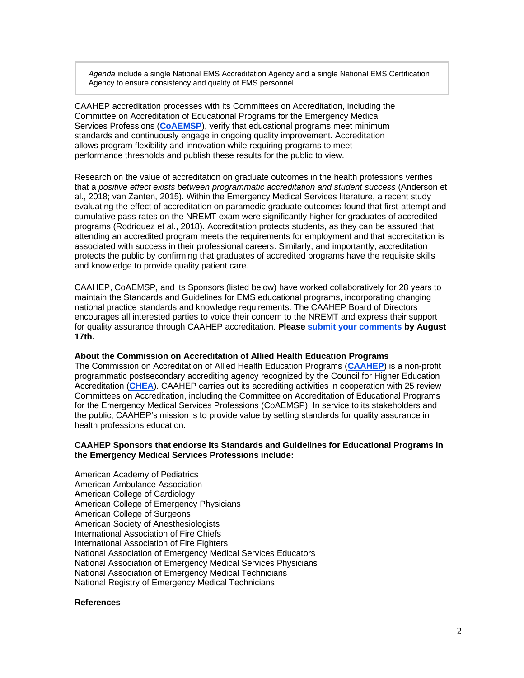*Agenda* include a single National EMS Accreditation Agency and a single National EMS Certification Agency to ensure consistency and quality of EMS personnel.

CAAHEP accreditation processes with its Committees on Accreditation, including the Committee on Accreditation of Educational Programs for the Emergency Medical Services Professions (**[CoAEMSP](https://r20.rs6.net/tn.jsp?f=001ft6S3Ac4PmX-dF6sK9VIx-Q-EgzkkG7jAAdlsbCfz7Sn2I25oF0RNvigzJXC2G9ZXOQoW1Ec8U_6OPTR5lvq_uGjV4tdxcixQS6GV2O0mTjc28FraDx_y1DbGGgIJbigp_Y9XozNNEs=&c=raQBl_hP6X-qyQOXEdRyB1VLeO7eXSD5vhFVpoFZViIgqxnplyotsg==&ch=QQksFCnW5a1pfpfWJn6EED8Ro6-nYUBAJjDa9ZqL3wAWpmdD4V7rkg==)**), verify that educational programs meet minimum standards and continuously engage in ongoing quality improvement. Accreditation allows program flexibility and innovation while requiring programs to meet performance thresholds and publish these results for the public to view.

Research on the value of accreditation on graduate outcomes in the health professions verifies that a *positive effect exists between programmatic accreditation and student success* (Anderson et al., 2018; van Zanten, 2015). Within the Emergency Medical Services literature, a recent study evaluating the effect of accreditation on paramedic graduate outcomes found that first-attempt and cumulative pass rates on the NREMT exam were significantly higher for graduates of accredited programs (Rodriquez et al., 2018). Accreditation protects students, as they can be assured that attending an accredited program meets the requirements for employment and that accreditation is associated with success in their professional careers. Similarly, and importantly, accreditation protects the public by confirming that graduates of accredited programs have the requisite skills and knowledge to provide quality patient care.

CAAHEP, CoAEMSP, and its Sponsors (listed below) have worked collaboratively for 28 years to maintain the Standards and Guidelines for EMS educational programs, incorporating changing national practice standards and knowledge requirements. The CAAHEP Board of Directors encourages all interested parties to voice their concern to the NREMT and express their support for quality assurance through CAAHEP accreditation. **Please [submit your comments](https://r20.rs6.net/tn.jsp?f=001ft6S3Ac4PmX-dF6sK9VIx-Q-EgzkkG7jAAdlsbCfz7Sn2I25oF0RNmOcpWaSWds0qfkBsMXeNf2Kawp5iqgtXrlw6LPFSheUP5X2Oh_Ersf2tb5Nxp7iTQFNqM2aPmU5iKLvRqJuj_x1bSRXhAK6ZUcDFSpYbw5PSQAkz7o5xImc_QC7Asch2Ht8IoKkzoXvoU4uWGEzeOSUZv1P_JGECsOe4-Bem8IFpH9hM0JhzOsQqgdQW2WHkTX1VXIMH2Qr&c=raQBl_hP6X-qyQOXEdRyB1VLeO7eXSD5vhFVpoFZViIgqxnplyotsg==&ch=QQksFCnW5a1pfpfWJn6EED8Ro6-nYUBAJjDa9ZqL3wAWpmdD4V7rkg==) by August 17th.**

#### **About the Commission on Accreditation of Allied Health Education Programs**

The Commission on Accreditation of Allied Health Education Programs (**[CAAHEP](https://r20.rs6.net/tn.jsp?f=001ft6S3Ac4PmX-dF6sK9VIx-Q-EgzkkG7jAAdlsbCfz7Sn2I25oF0RNvIEC_Zwl6NcWZmc6_Oc6nbZIjVI0m5kf10TmyOChOoHB-YiI0zjHkgjxqpCgeawAcNAn452dCRvzY21mdQxM6HIVt83ogFzBg==&c=raQBl_hP6X-qyQOXEdRyB1VLeO7eXSD5vhFVpoFZViIgqxnplyotsg==&ch=QQksFCnW5a1pfpfWJn6EED8Ro6-nYUBAJjDa9ZqL3wAWpmdD4V7rkg==)**) is a non-profit programmatic postsecondary accrediting agency recognized by the Council for Higher Education Accreditation (**[CHEA](https://r20.rs6.net/tn.jsp?f=001ft6S3Ac4PmX-dF6sK9VIx-Q-EgzkkG7jAAdlsbCfz7Sn2I25oF0RNjXAlYVDAXzYjKZ5EUSuCu54sVEyEQHgGPj93uzJgqn-R0ZyLLhkhBHdLBFQ7Ge_NZgFAgnSWsKqyGcokgxt5Ec=&c=raQBl_hP6X-qyQOXEdRyB1VLeO7eXSD5vhFVpoFZViIgqxnplyotsg==&ch=QQksFCnW5a1pfpfWJn6EED8Ro6-nYUBAJjDa9ZqL3wAWpmdD4V7rkg==)**). CAAHEP carries out its accrediting activities in cooperation with 25 review Committees on Accreditation, including the Committee on Accreditation of Educational Programs for the Emergency Medical Services Professions (CoAEMSP). In service to its stakeholders and the public, CAAHEP's mission is to provide value by setting standards for quality assurance in health professions education.

### **CAAHEP Sponsors that endorse its Standards and Guidelines for Educational Programs in the Emergency Medical Services Professions include:**

American Academy of Pediatrics American Ambulance Association American College of Cardiology American College of Emergency Physicians American College of Surgeons American Society of Anesthesiologists International Association of Fire Chiefs International Association of Fire Fighters National Association of Emergency Medical Services Educators National Association of Emergency Medical Services Physicians National Association of Emergency Medical Technicians National Registry of Emergency Medical Technicians

## **References**